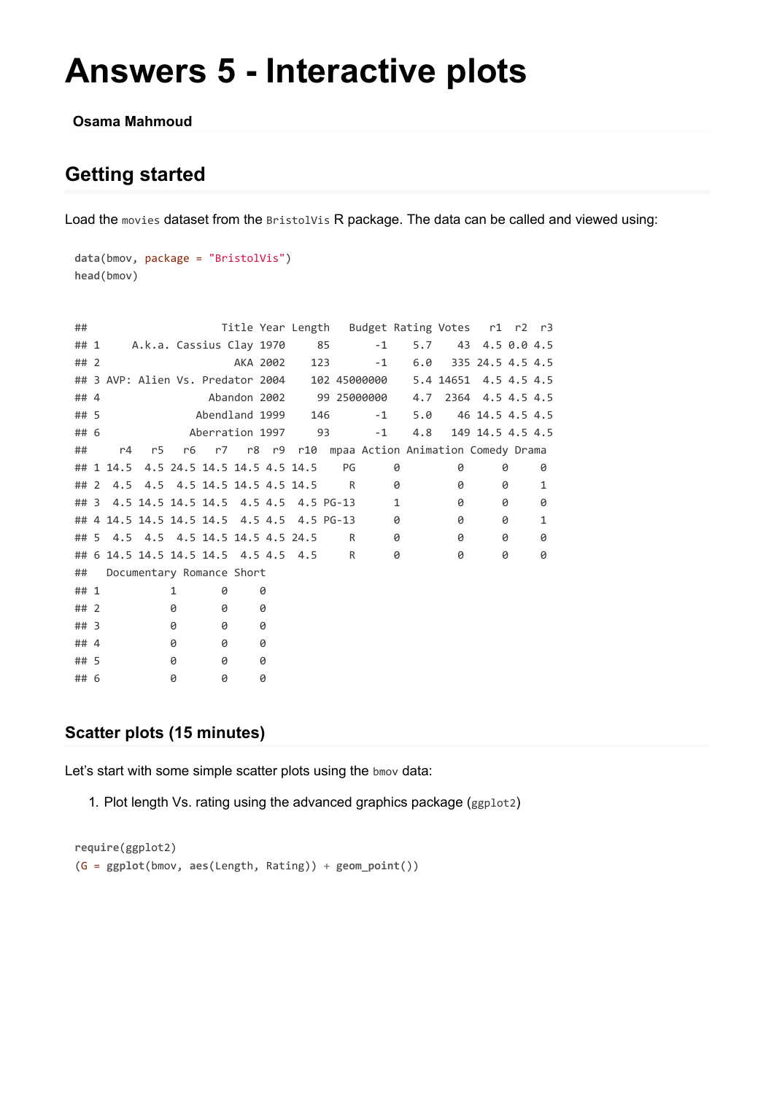# **Answers 5 - Interactive plots**

#### **Osama Mahmoud**

## **Getting started**

Load the movies dataset from the BristolVis R package. The data can be called and viewed using:

```
data(bmov, package = "BristolVis")
head(bmov)
```

| ##     |    |                                       |   |   |                 |   |                             |                                            |                                                | Title Year Length Budget Rating Votes r1 r2 r3     |                       |                  |   |              |
|--------|----|---------------------------------------|---|---|-----------------|---|-----------------------------|--------------------------------------------|------------------------------------------------|----------------------------------------------------|-----------------------|------------------|---|--------------|
| ## 1   |    |                                       |   |   |                 |   | A.k.a. Cassius Clay 1970 85 |                                            | $-1$                                           | 5.7                                                |                       | 43 4.5 0.0 4.5   |   |              |
| ##2    |    |                                       |   |   | AKA 2002        |   |                             | 123                                        | $-1$                                           | 6.0                                                |                       | 335 24.5 4.5 4.5 |   |              |
|        |    |                                       |   |   |                 |   |                             |                                            | ## 3 AVP: Alien Vs. Predator 2004 102 45000000 |                                                    | 5.4 14651 4.5 4.5 4.5 |                  |   |              |
| ## 4   |    |                                       |   |   |                 |   |                             |                                            | Abandon 2002 99 25000000                       |                                                    | 4.7 2364 4.5 4.5 4.5  |                  |   |              |
| ## 5   |    |                                       |   |   | Abendland 1999  |   | 146                         |                                            | $-1$                                           | 5.0                                                |                       | 46 14.5 4.5 4.5  |   |              |
| ## 6   |    |                                       |   |   | Aberration 1997 |   |                             | 93                                         | $-1$                                           |                                                    | 4.8 149 14.5 4.5 4.5  |                  |   |              |
| ##     | r4 | r5                                    |   |   |                 |   |                             |                                            |                                                | r6 r7 r8 r9 r10 mpaa Action Animation Comedy Drama |                       |                  |   |              |
|        |    | ## 1 14.5 4.5 24.5 14.5 14.5 4.5 14.5 |   |   |                 |   |                             | PG                                         |                                                | 0                                                  | 0                     |                  | 0 | 0            |
| ##2    |    | 4.5 4.5 4.5 14.5 14.5 4.5 14.5        |   |   |                 |   |                             | R                                          |                                                | 0                                                  | 0                     |                  | 0 | 1            |
| $##$ 3 |    |                                       |   |   |                 |   |                             | 4.5 14.5 14.5 14.5 4.5 4.5 4.5 PG-13       |                                                | 1                                                  | 0                     |                  | 0 | 0            |
|        |    |                                       |   |   |                 |   |                             | ## 4 14.5 14.5 14.5 14.5 4.5 4.5 4.5 PG-13 |                                                | 0                                                  | 0                     |                  | 0 | $\mathbf{1}$ |
|        |    | ## 5 4.5 4.5 4.5 14.5 14.5 4.5 24.5   |   |   |                 |   |                             | R                                          |                                                | 0                                                  | 0                     |                  | 0 | 0            |
|        |    | ## 6 14.5 14.5 14.5 14.5 4.5 4.5 4.5  |   |   |                 |   |                             | R                                          |                                                | 0                                                  | 0                     |                  | 0 | 0            |
| ##     |    | Documentary Romance Short             |   |   |                 |   |                             |                                            |                                                |                                                    |                       |                  |   |              |
| ## 1   |    |                                       | 1 | 0 |                 | 0 |                             |                                            |                                                |                                                    |                       |                  |   |              |
| ##2    |    |                                       | 0 | 0 | 0               |   |                             |                                            |                                                |                                                    |                       |                  |   |              |
| ## 3   |    |                                       | 0 | 0 | 0               |   |                             |                                            |                                                |                                                    |                       |                  |   |              |
| ## 4   |    |                                       | 0 | 0 | 0               |   |                             |                                            |                                                |                                                    |                       |                  |   |              |
| ## 5   |    |                                       | 0 | 0 |                 | 0 |                             |                                            |                                                |                                                    |                       |                  |   |              |
| ## 6   |    |                                       | 0 | 0 |                 | 0 |                             |                                            |                                                |                                                    |                       |                  |   |              |

### **Scatter plots (15 minutes)**

Let's start with some simple scatter plots using the bmov data:

1. Plot length Vs. rating using the advanced graphics package (ggplot2)

```
require(ggplot2)
(G = ggplot(bmov, aes(Length, Rating)) + geom_point())
```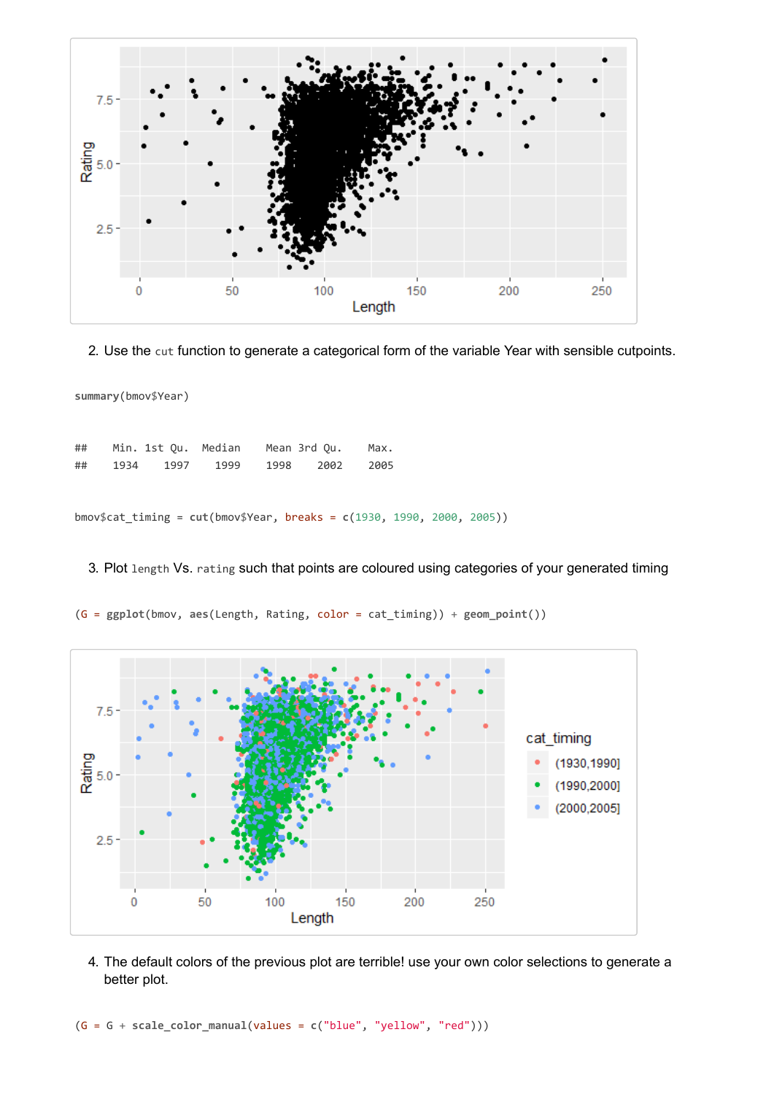

2. Use the cut function to generate a categorical form of the variable Year with sensible cutpoints.

bmov\$cat\_timing = **cut**(bmov\$Year, breaks = **c**(1930, 1990, 2000, 2005))

#### 3. Plot length Vs. rating such that points are coloured using categories of your generated timing



(G = **ggplot**(bmov, **aes**(Length, Rating, color = cat\_timing)) + **geom\_point**())

4. The default colors of the previous plot are terrible! use your own color selections to generate a better plot.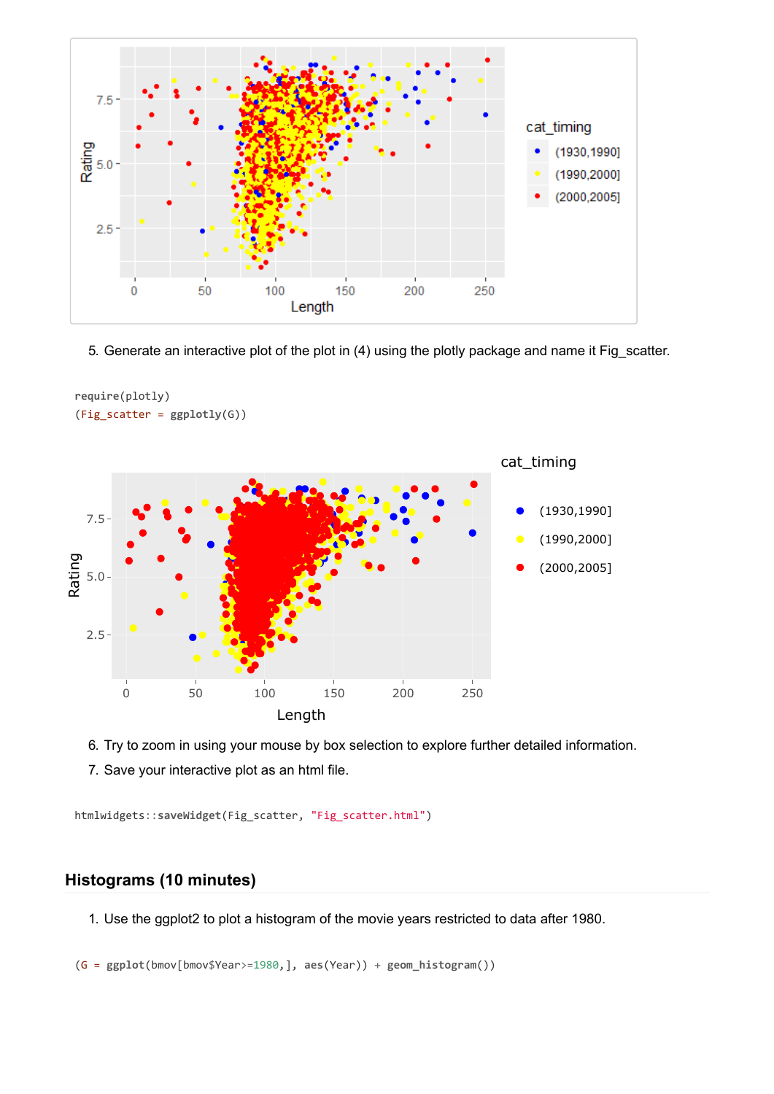

5. Generate an interactive plot of the plot in (4) using the plotly package and name it Fig\_scatter.



**require**(plotly) (Fig\_scatter = **ggplotly**(G))

6. Try to zoom in using your mouse by box selection to explore further detailed information.

7. Save your interactive plot as an html file.

htmlwidgets::**saveWidget**(Fig\_scatter, "Fig\_scatter.html")

## **Histograms (10 minutes)**

1. Use the ggplot2 to plot a histogram of the movie years restricted to data after 1980.

(G = **ggplot**(bmov[bmov\$Year>=1980,], **aes**(Year)) + **geom\_histogram**())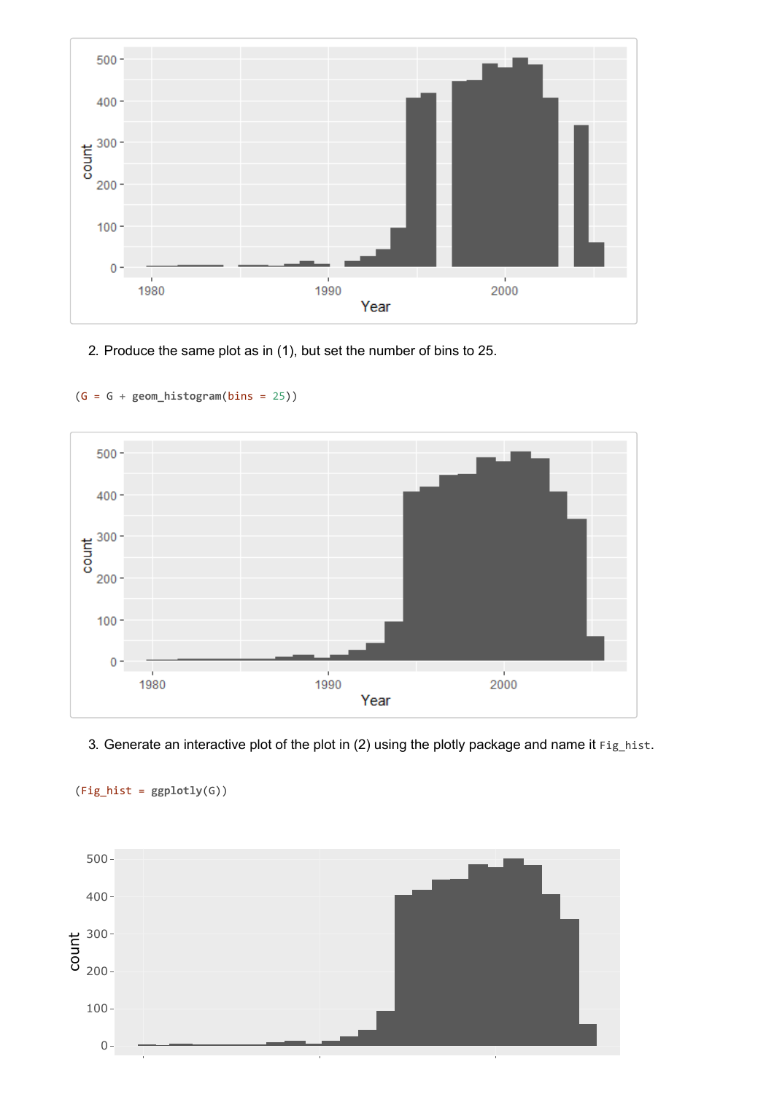

2. Produce the same plot as in (1), but set the number of bins to 25.



(G = G + **geom\_histogram**(bins = 25))

3. Generate an interactive plot of the plot in (2) using the plotly package and name it  $Fig_hist$ .



(Fig\_hist = **ggplotly**(G))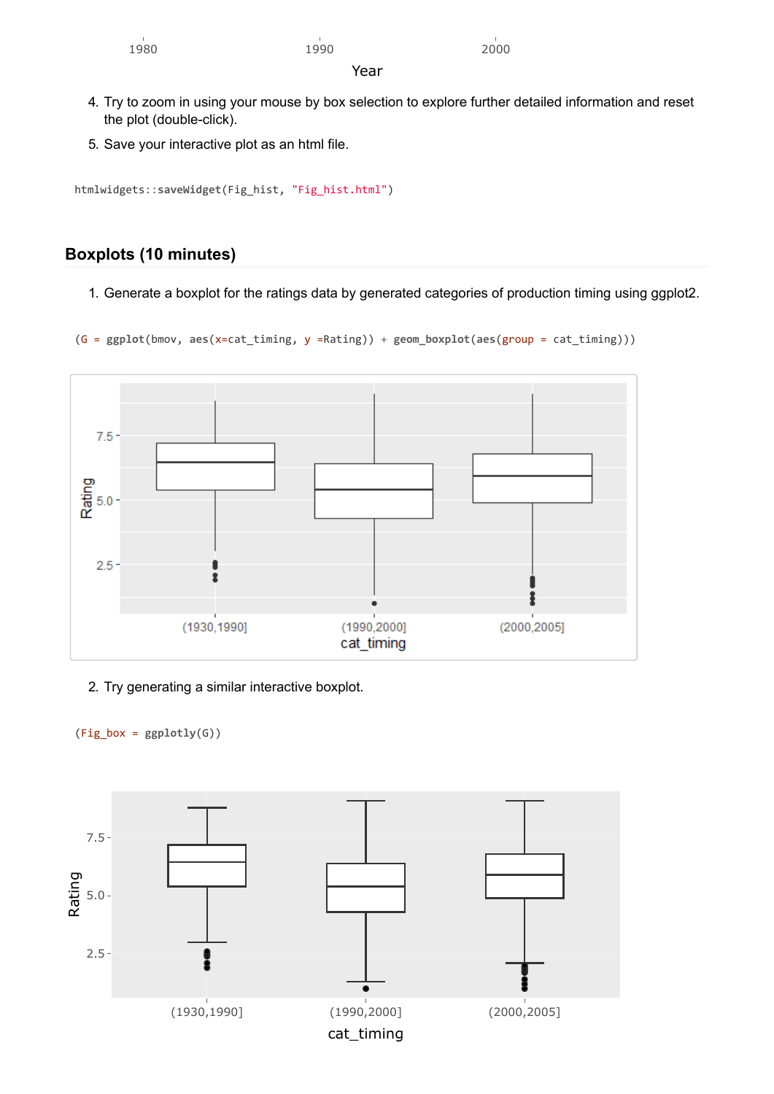## 1980 1990 2000

Year

- 4. Try to zoom in using your mouse by box selection to explore further detailed information and reset the plot (double-click).
- 5. Save your interactive plot as an html file.

```
htmlwidgets::saveWidget(Fig_hist, "Fig_hist.html")
```
## **Boxplots (10 minutes)**

1. Generate a boxplot for the ratings data by generated categories of production timing using ggplot2.

(G = **ggplot**(bmov, **aes**(x=cat\_timing, y =Rating)) + **geom\_boxplot**(**aes**(group = cat\_timing)))



2. Try generating a similar interactive boxplot.

 $(Fig box = ggplotly(G))$ 

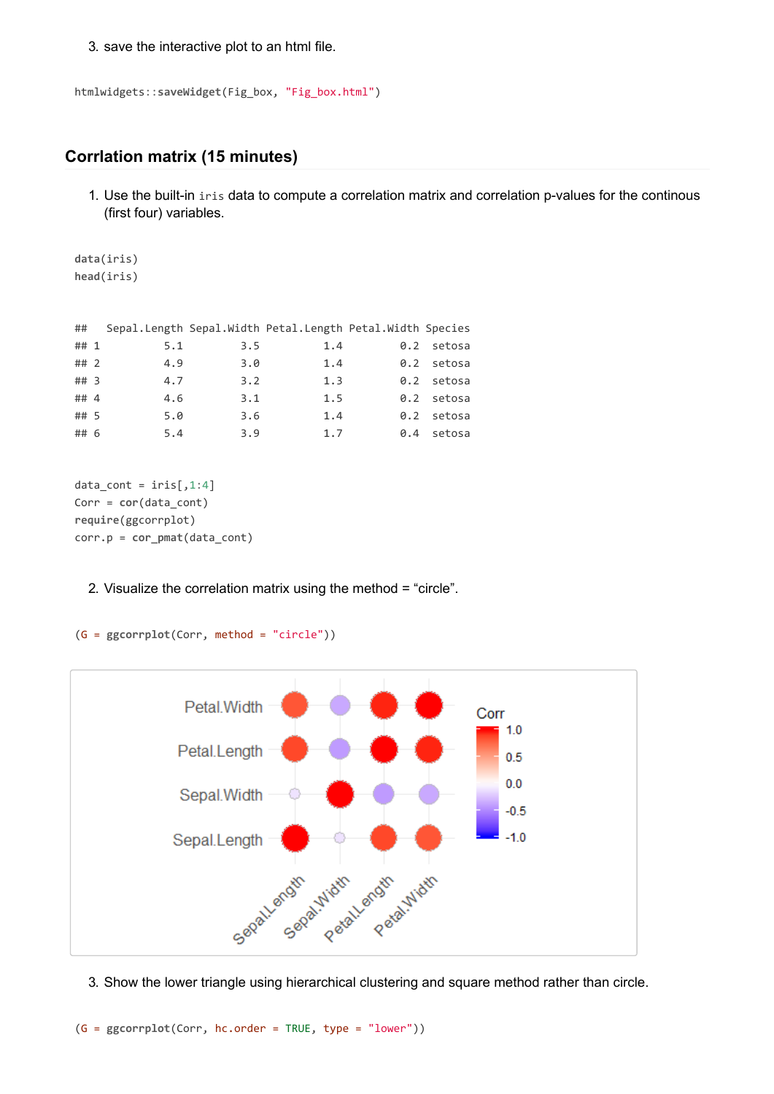3. save the interactive plot to an html file.

```
htmlwidgets::saveWidget(Fig_box, "Fig_box.html")
```
#### **Corrlation matrix (15 minutes)**

1. Use the built-in iris data to compute a correlation matrix and correlation p-values for the continous (first four) variables.

```
data(iris)
head(iris)
```

| ##     |     |     | Sepal.Length Sepal.Width Petal.Length Petal.Width Species |     |            |
|--------|-----|-----|-----------------------------------------------------------|-----|------------|
| ## 1   | 5.1 | 3.5 | 1.4                                                       |     | 0.2 setosa |
| ##2    | 4.9 | 3.0 | 1.4                                                       |     | 0.2 setosa |
| $##$ 3 | 4.7 | 3.2 | 1.3                                                       |     | 0.2 setosa |
| ## 4   | 4.6 | 3.1 | 1.5                                                       |     | 0.2 setosa |
| ## 5   | 5.0 | 3.6 | 1.4                                                       |     | 0.2 setosa |
| ## 6   | 5.4 | 3.9 | 1.7                                                       | 0.4 | setosa     |

```
data_count = iris[, 1:4]Corr = cor(data_cont)
require(ggcorrplot)
corr.p = cor_pmat(data_cont)
```
#### 2. Visualize the correlation matrix using the method = "circle".

```
(G = ggcorrplot(Corr, method = "circle"))
```


3. Show the lower triangle using hierarchical clustering and square method rather than circle.

(G = **ggcorrplot**(Corr, hc.order = TRUE, type = "lower"))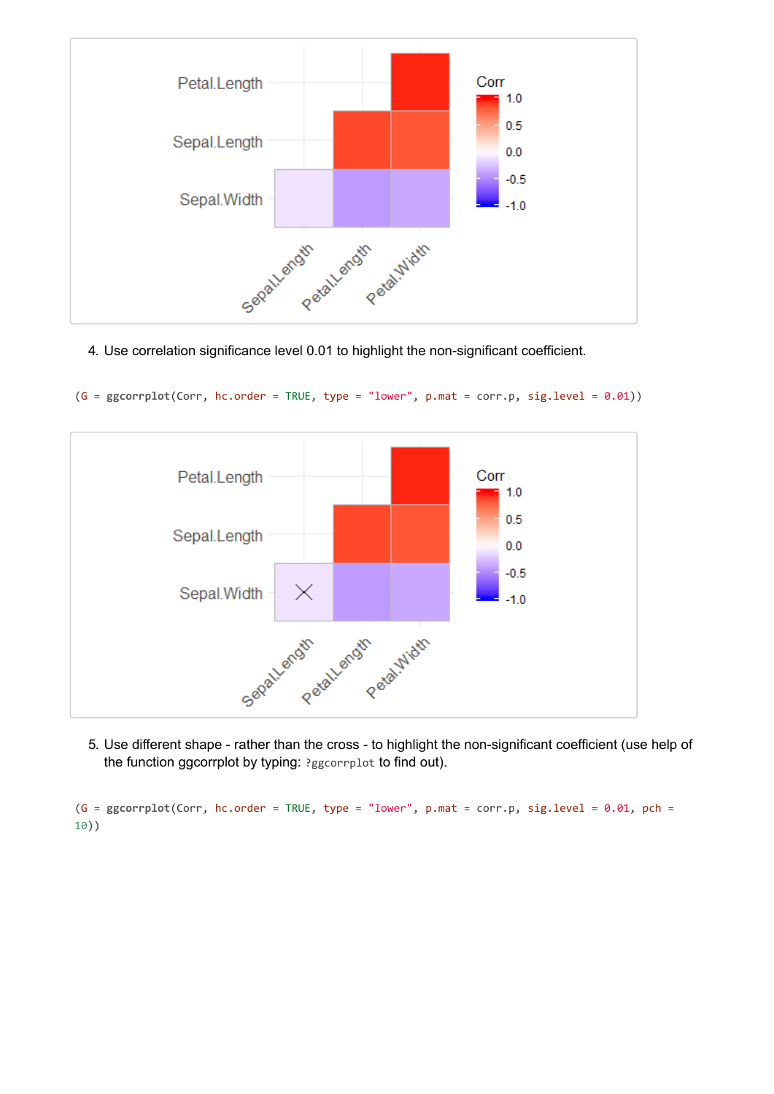

4. Use correlation significance level 0.01 to highlight the non-significant coefficient.

(G = **ggcorrplot**(Corr, hc.order = TRUE, type = "lower", p.mat = corr.p, sig.level = 0.01))



5. Use different shape - rather than the cross - to highlight the non-significant coefficient (use help of the function ggcorrplot by typing: ?ggcorrplot to find out).

(G = **ggcorrplot**(Corr, hc.order = TRUE, type = "lower", p.mat = corr.p, sig.level = 0.01, pch = 10))